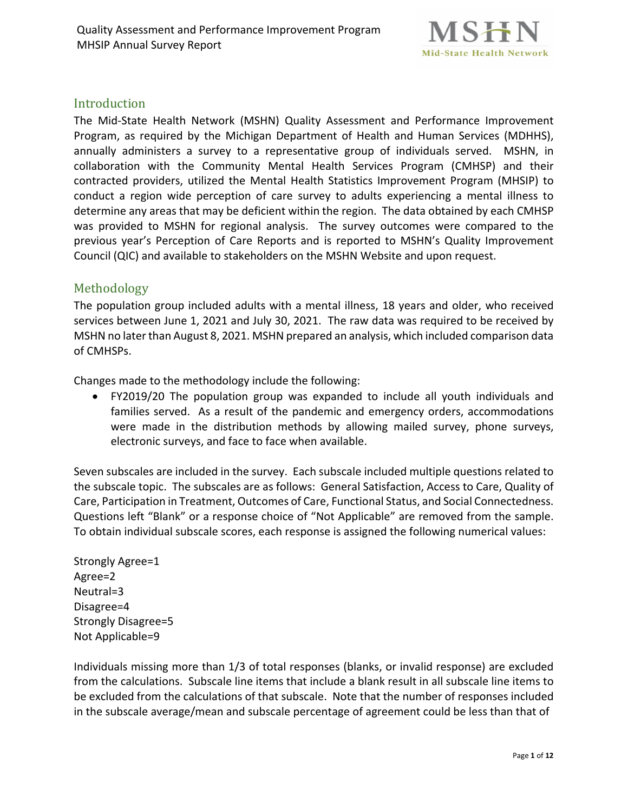

### Introduction

The Mid-State Health Network (MSHN) Quality Assessment and Performance Improvement Program, as required by the Michigan Department of Health and Human Services (MDHHS), annually administers a survey to a representative group of individuals served. MSHN, in collaboration with the Community Mental Health Services Program (CMHSP) and their contracted providers, utilized the Mental Health Statistics Improvement Program (MHSIP) to conduct a region wide perception of care survey to adults experiencing a mental illness to determine any areas that may be deficient within the region. The data obtained by each CMHSP was provided to MSHN for regional analysis. The survey outcomes were compared to the previous year's Perception of Care Reports and is reported to MSHN's Quality Improvement Council (QIC) and available to stakeholders on the MSHN Website and upon request.

### Methodology

The population group included adults with a mental illness, 18 years and older, who received services between June 1, 2021 and July 30, 2021. The raw data was required to be received by MSHN no later than August 8, 2021. MSHN prepared an analysis, which included comparison data of CMHSPs.

Changes made to the methodology include the following:

• FY2019/20 The population group was expanded to include all youth individuals and families served. As a result of the pandemic and emergency orders, accommodations were made in the distribution methods by allowing mailed survey, phone surveys, electronic surveys, and face to face when available.

Seven subscales are included in the survey. Each subscale included multiple questions related to the subscale topic. The subscales are as follows: General Satisfaction, Access to Care, Quality of Care, Participation in Treatment, Outcomes of Care, Functional Status, and Social Connectedness. Questions left "Blank" or a response choice of "Not Applicable" are removed from the sample. To obtain individual subscale scores, each response is assigned the following numerical values:

Strongly Agree=1 Agree=2 Neutral=3 Disagree=4 Strongly Disagree=5 Not Applicable=9

Individuals missing more than 1/3 of total responses (blanks, or invalid response) are excluded from the calculations. Subscale line items that include a blank result in all subscale line items to be excluded from the calculations of that subscale. Note that the number of responses included in the subscale average/mean and subscale percentage of agreement could be less than that of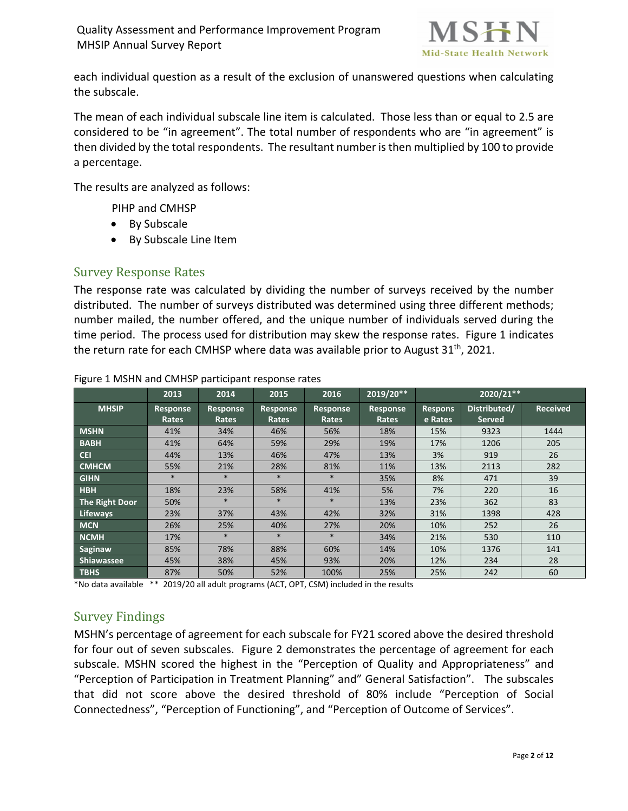

each individual question as a result of the exclusion of unanswered questions when calculating the subscale.

The mean of each individual subscale line item is calculated. Those less than or equal to 2.5 are considered to be "in agreement". The total number of respondents who are "in agreement" is then divided by the total respondents. The resultant number is then multiplied by 100 to provide a percentage.

The results are analyzed as follows:

PIHP and CMHSP

- By Subscale
- By Subscale Line Item

### Survey Response Rates

The response rate was calculated by dividing the number of surveys received by the number distributed. The number of surveys distributed was determined using three different methods; number mailed, the number offered, and the unique number of individuals served during the time period. The process used for distribution may skew the response rates. Figure 1 indicates the return rate for each CMHSP where data was available prior to August 31<sup>th</sup>, 2021.

|                       | 2013              | 2014                     | 2015               | 2016              | 2019/20**         |                           | $2020/21**$                   |                 |
|-----------------------|-------------------|--------------------------|--------------------|-------------------|-------------------|---------------------------|-------------------------------|-----------------|
| <b>MHSIP</b>          | Response<br>Rates | Response<br><b>Rates</b> | Response<br>Rates, | Response<br>Rates | Response<br>Rates | <b>Respons</b><br>e Rates | Distributed/<br><b>Served</b> | <b>Received</b> |
| <b>MSHN</b>           | 41%               | 34%                      | 46%                | 56%               | 18%               | 15%                       | 9323                          | 1444            |
| <b>BABH</b>           | 41%               | 64%                      | 59%                | 29%               | 19%               | 17%                       | 1206                          | 205             |
| <b>CEI</b>            | 44%               | 13%                      | 46%                | 47%               | 13%               | 3%                        | 919                           | 26              |
| <b>CMHCM</b>          | 55%               | 21%                      | 28%                | 81%               | 11%               | 13%                       | 2113                          | 282             |
| <b>GIHN</b>           | $\ast$            | $\ast$                   | $*$                | $*$               | 35%               | 8%                        | 471                           | 39              |
| <b>HBH</b>            | 18%               | 23%                      | 58%                | 41%               | 5%                | 7%                        | 220                           | 16              |
| <b>The Right Door</b> | 50%               | $*$                      | $\ast$             | $\ast$            | 13%               | 23%                       | 362                           | 83              |
| <b>Lifeways</b>       | 23%               | 37%                      | 43%                | 42%               | 32%               | 31%                       | 1398                          | 428             |
| <b>MCN</b>            | 26%               | 25%                      | 40%                | 27%               | 20%               | 10%                       | 252                           | 26              |
| <b>NCMH</b>           | 17%               | $*$                      | $*$                | $*$               | 34%               | 21%                       | 530                           | 110             |
| Saginaw               | 85%               | 78%                      | 88%                | 60%               | 14%               | 10%                       | 1376                          | 141             |
| <b>Shiawassee</b>     | 45%               | 38%                      | 45%                | 93%               | 20%               | 12%                       | 234                           | 28              |
| <b>TBHS</b>           | 87%               | 50%                      | 52%                | 100%              | 25%               | 25%                       | 242                           | 60              |

#### Figure 1 MSHN and CMHSP participant response rates

\*No data available \*\* 2019/20 all adult programs (ACT, OPT, CSM) included in the results

## Survey Findings

MSHN's percentage of agreement for each subscale for FY21 scored above the desired threshold for four out of seven subscales. Figure 2 demonstrates the percentage of agreement for each subscale. MSHN scored the highest in the "Perception of Quality and Appropriateness" and "Perception of Participation in Treatment Planning" and" General Satisfaction". The subscales that did not score above the desired threshold of 80% include "Perception of Social Connectedness", "Perception of Functioning", and "Perception of Outcome of Services".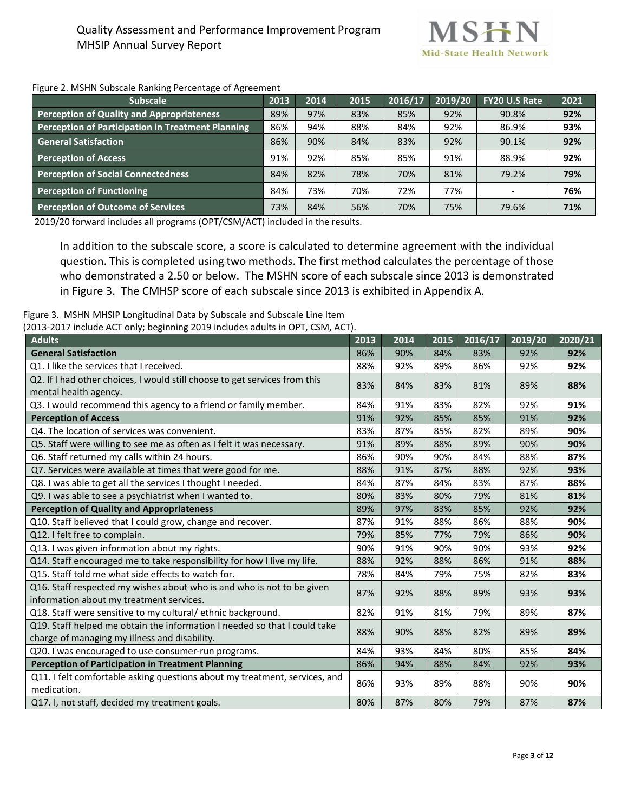

#### Figure 2. MSHN Subscale Ranking Percentage of Agreement

| <b>Subscale</b>                                   | 2013 | 2014 | 2015 | 2016/17 | 2019/20 | <b>FY20 U.S Rate</b> | 2021 |
|---------------------------------------------------|------|------|------|---------|---------|----------------------|------|
| Perception of Quality and Appropriateness         | 89%  | 97%  | 83%  | 85%     | 92%     | 90.8%                | 92%  |
| Perception of Participation in Treatment Planning | 86%  | 94%  | 88%  | 84%     | 92%     | 86.9%                | 93%  |
| <b>General Satisfaction</b>                       | 86%  | 90%  | 84%  | 83%     | 92%     | 90.1%                | 92%  |
| <b>Perception of Access</b>                       | 91%  | 92%  | 85%  | 85%     | 91%     | 88.9%                | 92%  |
| <b>Perception of Social Connectedness</b>         | 84%  | 82%  | 78%  | 70%     | 81%     | 79.2%                | 79%  |
| <b>Perception of Functioning</b>                  | 84%  | 73%  | 70%  | 72%     | 77%     |                      | 76%  |
| <b>Perception of Outcome of Services</b>          | 73%  | 84%  | 56%  | 70%     | 75%     | 79.6%                | 71%  |

2019/20 forward includes all programs (OPT/CSM/ACT) included in the results.

In addition to the subscale score, a score is calculated to determine agreement with the individual question. This is completed using two methods. The first method calculates the percentage of those who demonstrated a 2.50 or below. The MSHN score of each subscale since 2013 is demonstrated in Figure 3. The CMHSP score of each subscale since 2013 is exhibited in Appendix A.

Figure 3. MSHN MHSIP Longitudinal Data by Subscale and Subscale Line Item

(2013-2017 include ACT only; beginning 2019 includes adults in OPT, CSM, ACT).

| <b>Adults</b>                                                                                                              | 2013 | 2014 | 2015 | 2016/17 | 2019/20 | 2020/21 |
|----------------------------------------------------------------------------------------------------------------------------|------|------|------|---------|---------|---------|
| <b>General Satisfaction</b>                                                                                                | 86%  | 90%  | 84%  | 83%     | 92%     | 92%     |
| Q1. I like the services that I received.                                                                                   | 88%  | 92%  | 89%  | 86%     | 92%     | 92%     |
| Q2. If I had other choices, I would still choose to get services from this<br>mental health agency.                        | 83%  | 84%  | 83%  | 81%     | 89%     | 88%     |
| Q3. I would recommend this agency to a friend or family member.                                                            | 84%  | 91%  | 83%  | 82%     | 92%     | 91%     |
| <b>Perception of Access</b>                                                                                                | 91%  | 92%  | 85%  | 85%     | 91%     | 92%     |
| Q4. The location of services was convenient.                                                                               | 83%  | 87%  | 85%  | 82%     | 89%     | 90%     |
| Q5. Staff were willing to see me as often as I felt it was necessary.                                                      | 91%  | 89%  | 88%  | 89%     | 90%     | 90%     |
| Q6. Staff returned my calls within 24 hours.                                                                               | 86%  | 90%  | 90%  | 84%     | 88%     | 87%     |
| Q7. Services were available at times that were good for me.                                                                | 88%  | 91%  | 87%  | 88%     | 92%     | 93%     |
| Q8. I was able to get all the services I thought I needed.                                                                 | 84%  | 87%  | 84%  | 83%     | 87%     | 88%     |
| Q9. I was able to see a psychiatrist when I wanted to.                                                                     | 80%  | 83%  | 80%  | 79%     | 81%     | 81%     |
| <b>Perception of Quality and Appropriateness</b>                                                                           | 89%  | 97%  | 83%  | 85%     | 92%     | 92%     |
| Q10. Staff believed that I could grow, change and recover.                                                                 | 87%  | 91%  | 88%  | 86%     | 88%     | 90%     |
| Q12. I felt free to complain.                                                                                              | 79%  | 85%  | 77%  | 79%     | 86%     | 90%     |
| Q13. I was given information about my rights.                                                                              | 90%  | 91%  | 90%  | 90%     | 93%     | 92%     |
| Q14. Staff encouraged me to take responsibility for how I live my life.                                                    | 88%  | 92%  | 88%  | 86%     | 91%     | 88%     |
| Q15. Staff told me what side effects to watch for.                                                                         | 78%  | 84%  | 79%  | 75%     | 82%     | 83%     |
| Q16. Staff respected my wishes about who is and who is not to be given<br>information about my treatment services.         | 87%  | 92%  | 88%  | 89%     | 93%     | 93%     |
| Q18. Staff were sensitive to my cultural/ethnic background.                                                                | 82%  | 91%  | 81%  | 79%     | 89%     | 87%     |
| Q19. Staff helped me obtain the information I needed so that I could take<br>charge of managing my illness and disability. | 88%  | 90%  | 88%  | 82%     | 89%     | 89%     |
| Q20. I was encouraged to use consumer-run programs.                                                                        | 84%  | 93%  | 84%  | 80%     | 85%     | 84%     |
| <b>Perception of Participation in Treatment Planning</b>                                                                   | 86%  | 94%  | 88%  | 84%     | 92%     | 93%     |
| Q11. I felt comfortable asking questions about my treatment, services, and<br>medication.                                  | 86%  | 93%  | 89%  | 88%     | 90%     | 90%     |
| Q17. I, not staff, decided my treatment goals.                                                                             | 80%  | 87%  | 80%  | 79%     | 87%     | 87%     |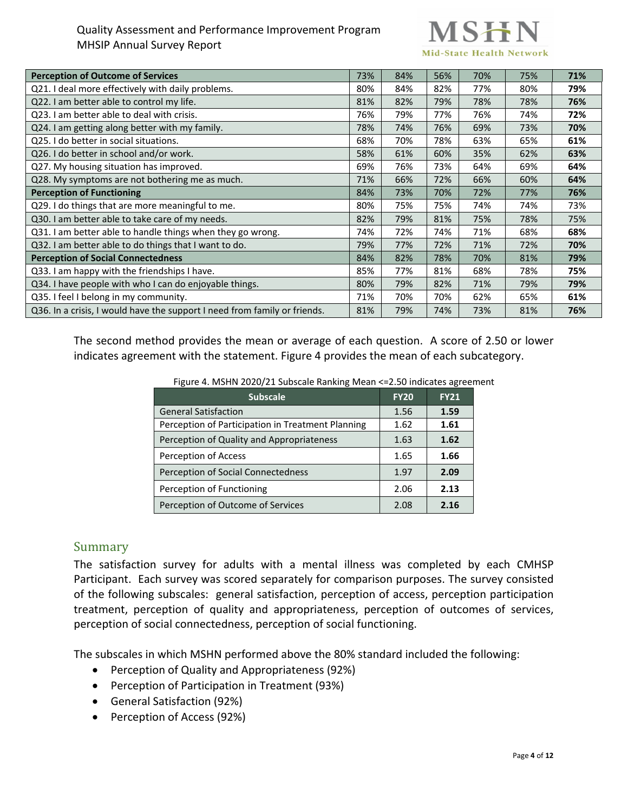# **Mid-State Health Network**

| <b>Perception of Outcome of Services</b>                                  | 73% | 84% | 56% | 70% | 75% | 71% |
|---------------------------------------------------------------------------|-----|-----|-----|-----|-----|-----|
| Q21. I deal more effectively with daily problems.                         | 80% | 84% | 82% | 77% | 80% | 79% |
| Q22. I am better able to control my life.                                 | 81% | 82% | 79% | 78% | 78% | 76% |
| Q23. I am better able to deal with crisis.                                | 76% | 79% | 77% | 76% | 74% | 72% |
| Q24. I am getting along better with my family.                            | 78% | 74% | 76% | 69% | 73% | 70% |
| Q25. I do better in social situations.                                    | 68% | 70% | 78% | 63% | 65% | 61% |
| Q26. I do better in school and/or work.                                   | 58% | 61% | 60% | 35% | 62% | 63% |
| Q27. My housing situation has improved.                                   | 69% | 76% | 73% | 64% | 69% | 64% |
| Q28. My symptoms are not bothering me as much.                            | 71% | 66% | 72% | 66% | 60% | 64% |
| <b>Perception of Functioning</b>                                          | 84% | 73% | 70% | 72% | 77% | 76% |
| Q29. I do things that are more meaningful to me.                          | 80% | 75% | 75% | 74% | 74% | 73% |
| Q30. I am better able to take care of my needs.                           | 82% | 79% | 81% | 75% | 78% | 75% |
| Q31. I am better able to handle things when they go wrong.                | 74% | 72% | 74% | 71% | 68% | 68% |
| Q32. I am better able to do things that I want to do.                     | 79% | 77% | 72% | 71% | 72% | 70% |
| <b>Perception of Social Connectedness</b>                                 | 84% | 82% | 78% | 70% | 81% | 79% |
| Q33. I am happy with the friendships I have.                              | 85% | 77% | 81% | 68% | 78% | 75% |
| Q34. I have people with who I can do enjoyable things.                    | 80% | 79% | 82% | 71% | 79% | 79% |
| Q35. I feel I belong in my community.                                     | 71% | 70% | 70% | 62% | 65% | 61% |
| Q36. In a crisis, I would have the support I need from family or friends. | 81% | 79% | 74% | 73% | 81% | 76% |

The second method provides the mean or average of each question. A score of 2.50 or lower indicates agreement with the statement. Figure 4 provides the mean of each subcategory.

|  | Figure 4. MSHN 2020/21 Subscale Ranking Mean <= 2.50 indicates agreement |  |  |
|--|--------------------------------------------------------------------------|--|--|

| <b>Subscale</b>                                   | <b>FY20</b> | <b>FY21</b> |
|---------------------------------------------------|-------------|-------------|
| <b>General Satisfaction</b>                       | 1.56        | 1.59        |
| Perception of Participation in Treatment Planning | 1.62        | 1.61        |
| Perception of Quality and Appropriateness         | 1.63        | 1.62        |
| Perception of Access                              | 1.65        | 1.66        |
| Perception of Social Connectedness                | 1.97        | 2.09        |
| Perception of Functioning                         | 2.06        | 2.13        |
| Perception of Outcome of Services                 | 2.08        | 2.16        |

### Summary

The satisfaction survey for adults with a mental illness was completed by each CMHSP Participant. Each survey was scored separately for comparison purposes. The survey consisted of the following subscales: general satisfaction, perception of access, perception participation treatment, perception of quality and appropriateness, perception of outcomes of services, perception of social connectedness, perception of social functioning.

The subscales in which MSHN performed above the 80% standard included the following:

- Perception of Quality and Appropriateness (92%)
- Perception of Participation in Treatment (93%)
- General Satisfaction (92%)
- Perception of Access (92%)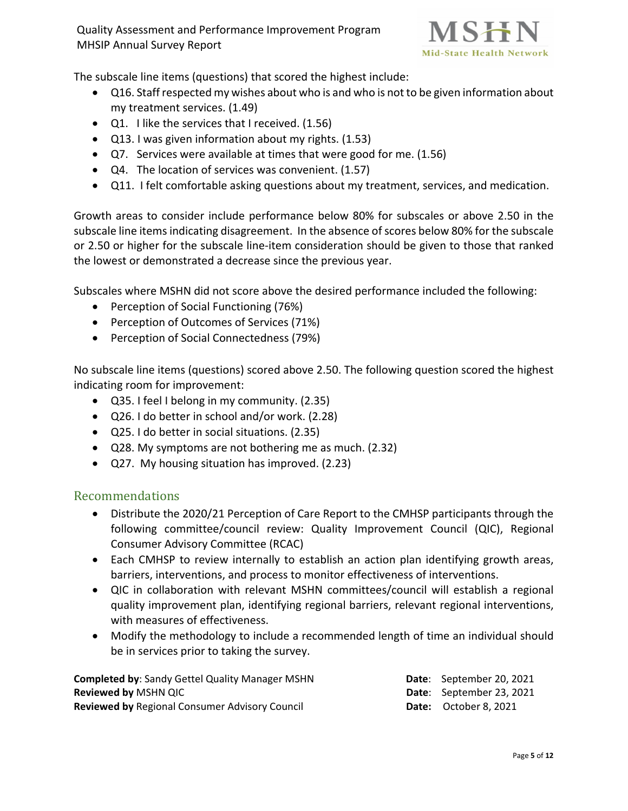

The subscale line items (questions) that scored the highest include:

- Q16. Staff respected my wishes about who is and who is not to be given information about my treatment services. (1.49)
- Q1. I like the services that I received. (1.56)
- Q13. I was given information about my rights. (1.53)
- Q7. Services were available at times that were good for me. (1.56)
- Q4. The location of services was convenient. (1.57)
- Q11. I felt comfortable asking questions about my treatment, services, and medication.

Growth areas to consider include performance below 80% for subscales or above 2.50 in the subscale line items indicating disagreement. In the absence of scores below 80% for the subscale or 2.50 or higher for the subscale line-item consideration should be given to those that ranked the lowest or demonstrated a decrease since the previous year.

Subscales where MSHN did not score above the desired performance included the following:

- Perception of Social Functioning (76%)
- Perception of Outcomes of Services (71%)
- Perception of Social Connectedness (79%)

No subscale line items (questions) scored above 2.50. The following question scored the highest indicating room for improvement:

- Q35. I feel I belong in my community. (2.35)
- Q26. I do better in school and/or work. (2.28)
- Q25. I do better in social situations. (2.35)
- Q28. My symptoms are not bothering me as much. (2.32)
- Q27. My housing situation has improved. (2.23)

### Recommendations

- Distribute the 2020/21 Perception of Care Report to the CMHSP participants through the following committee/council review: Quality Improvement Council (QIC), Regional Consumer Advisory Committee (RCAC)
- Each CMHSP to review internally to establish an action plan identifying growth areas, barriers, interventions, and process to monitor effectiveness of interventions.
- QIC in collaboration with relevant MSHN committees/council will establish a regional quality improvement plan, identifying regional barriers, relevant regional interventions, with measures of effectiveness.
- Modify the methodology to include a recommended length of time an individual should be in services prior to taking the survey.

| <b>Completed by: Sandy Gettel Quality Manager MSHN</b> | <b>Date:</b> September 20, 2021 |
|--------------------------------------------------------|---------------------------------|
| <b>Reviewed by MSHN QIC</b>                            | <b>Date:</b> September 23, 2021 |
| <b>Reviewed by Regional Consumer Advisory Council</b>  | <b>Date:</b> October 8, 2021    |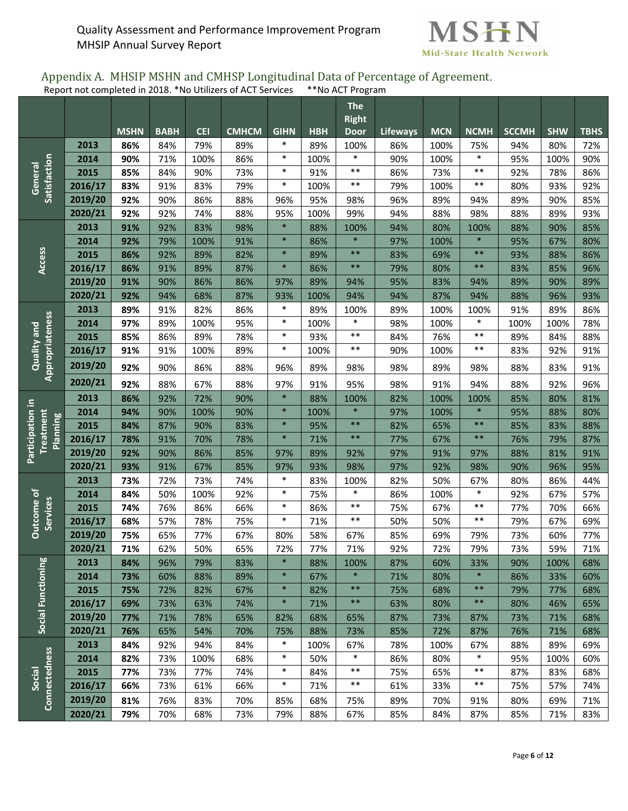

#### Appendix A. MHSIP MSHN and CMHSP Longitudinal Data of Percentage of Agreement. Report not completed in 2018. \*No Utilizers of ACT Services \*\*No ACT Program

|                              |         |             |             |            |              |                  |            | <b>The</b><br><b>Right</b> |                 |            |                 |              |            |             |
|------------------------------|---------|-------------|-------------|------------|--------------|------------------|------------|----------------------------|-----------------|------------|-----------------|--------------|------------|-------------|
|                              |         | <b>MSHN</b> | <b>BABH</b> | <b>CEI</b> | <b>CMHCM</b> | <b>GIHN</b>      | <b>HBH</b> | <b>Door</b>                | <b>Lifeways</b> | <b>MCN</b> | <b>NCMH</b>     | <b>SCCMH</b> | <b>SHW</b> | <b>TBHS</b> |
|                              | 2013    | 86%         | 84%         | 79%        | 89%          | $\ast$           | 89%        | 100%                       | 86%             | 100%       | 75%             | 94%          | 80%        | 72%         |
|                              | 2014    | 90%         | 71%         | 100%       | 86%          | $\ast$           | 100%       | $\ast$                     | 90%             | 100%       | $\ast$          | 95%          | 100%       | 90%         |
| Satisfaction<br>General      | 2015    | 85%         | 84%         | 90%        | 73%          | $\ast$           | 91%        | $***$                      | 86%             | 73%        | $***$           | 92%          | 78%        | 86%         |
|                              | 2016/17 | 83%         | 91%         | 83%        | 79%          | $\ast$           | 100%       | $***$                      | 79%             | 100%       | $***$           | 80%          | 93%        | 92%         |
|                              | 2019/20 | 92%         | 90%         | 86%        | 88%          | 96%              | 95%        | 98%                        | 96%             | 89%        | 94%             | 89%          | 90%        | 85%         |
|                              | 2020/21 | 92%         | 92%         | 74%        | 88%          | 95%              | 100%       | 99%                        | 94%             | 88%        | 98%             | 88%          | 89%        | 93%         |
|                              | 2013    | 91%         | 92%         | 83%        | 98%          | $\ast$           | 88%        | 100%                       | 94%             | 80%        | 100%            | 88%          | 90%        | 85%         |
|                              | 2014    | 92%         | 79%         | 100%       | 91%          | $\ast$           | 86%        | $\ast$                     | 97%             | 100%       | $\ast$          | 95%          | 67%        | 80%         |
| Access                       | 2015    | 86%         | 92%         | 89%        | 82%          | $\ast$           | 89%        | $***$                      | 83%             | 69%        | $***$           | 93%          | 88%        | 86%         |
|                              | 2016/17 | 86%         | 91%         | 89%        | 87%          | $\ast$           | 86%        | $***$                      | 79%             | 80%        | $***$           | 83%          | 85%        | 96%         |
|                              | 2019/20 | 91%         | 90%         | 86%        | 86%          | 97%              | 89%        | 94%                        | 95%             | 83%        | 94%             | 89%          | 90%        | 89%         |
|                              | 2020/21 | 92%         | 94%         | 68%        | 87%          | 93%              | 100%       | 94%                        | 94%             | 87%        | 94%             | 88%          | 96%        | 93%         |
|                              | 2013    | 89%         | 91%         | 82%        | 86%          | $\ast$           | 89%        | 100%                       | 89%             | 100%       | 100%            | 91%          | 89%        | 86%         |
|                              | 2014    | 97%         | 89%         | 100%       | 95%          | $\ast$           | 100%       | $\ast$                     | 98%             | 100%       | $\ast$          | 100%         | 100%       | 78%         |
|                              | 2015    | 85%         | 86%         | 89%        | 78%          | $\ast$           | 93%        | $***$                      | 84%             | 76%        | $***$           | 89%          | 84%        | 88%         |
| Quality and                  | 2016/17 | 91%         | 91%         | 100%       | 89%          | $\ast$           | 100%       | $***$                      | 90%             | 100%       | $***$           | 83%          | 92%        | 91%         |
| Appropriateness              | 2019/20 | 92%         | 90%         | 86%        | 88%          | 96%              | 89%        | 98%                        | 98%             | 89%        | 98%             | 88%          | 83%        | 91%         |
|                              | 2020/21 | 92%         | 88%         | 67%        | 88%          | 97%              | 91%        | 95%                        | 98%             | 91%        | 94%             | 88%          | 92%        | 96%         |
|                              | 2013    | 86%         | 92%         | 72%        | 90%          | $\ast$           | 88%        | 100%                       | 82%             | 100%       | 100%            | 85%          | 80%        | 81%         |
| Participation in             | 2014    | 94%         | 90%         | 100%       | 90%          | $\ast$           | 100%       | $\ast$                     | 97%             | 100%       | $\ast$          | 95%          | 88%        | 80%         |
| Treatment<br><b>Planning</b> | 2015    | 84%         | 87%         | 90%        | 83%          | $\ast$           | 95%        | $***$                      | 82%             | 65%        | $***$           | 85%          | 83%        | 88%         |
|                              | 2016/17 | 78%         | 91%         | 70%        | 78%          | $\ast$           | 71%        | $***$                      | 77%             | 67%        | $**$            | 76%          | 79%        | 87%         |
|                              | 2019/20 | 92%         | 90%         | 86%        | 85%          | 97%              | 89%        | 92%                        | 97%             | 91%        | 97%             | 88%          | 81%        | 91%         |
|                              | 2020/21 | 93%         | 91%         | 67%        | 85%          | 97%              | 93%        | 98%                        | 97%             | 92%        | 98%             | 90%          | 96%        | 95%         |
|                              | 2013    | 73%         | 72%         | 73%        | 74%          | $\ast$           | 83%        | 100%                       | 82%             | 50%        | 67%             | 80%          | 86%        | 44%         |
| Outcome of                   | 2014    | 84%         | 50%         | 100%       | 92%          | $\ast$           | 75%        | $\ast$                     | 86%             | 100%       | $\ast$          | 92%          | 67%        | 57%         |
| <b>Services</b>              | 2015    | 74%         | 76%         | 86%        | 66%          | $\ast$           | 86%        | $***$                      | 75%             | 67%        | $***$           | 77%          | 70%        | 66%         |
|                              | 2016/17 | 68%         | 57%         | 78%        | 75%          | $\ast$           | 71%        | $***$                      | 50%             | 50%        | $***$           | 79%          | 67%        | 69%         |
|                              | 2019/20 | 75%         | 65%         | 77%        | 67%          | 80%              | 58%        | 67%                        | 85%             | 69%        | 79%             | 73%          | 60%        | 77%         |
|                              | 2020/21 | 71%         | 62%         | 50%        | 65%          | 72%              | 77%        | 71%                        | 92%             | 72%        | 79%             | 73%          | 59%        | 71%         |
| Social Functioning           | 2013    | 84%         | 96%         | 79%        | 83%          | $\ast$           | 88%        | 100%                       | 87%             | 60%        | 33%             | 90%          | 100%       | 68%         |
|                              | 2014    | 73%         | 60%         | 88%        | 89%          | $\ast$           | 67%        | $\ast$                     | 71%             | 80%        | $\ast$          | 86%          | 33%        | 60%         |
|                              | 2015    | 75%         | 72%         | 82%        | 67%          | $\ast$<br>$\ast$ | 82%        | $***$                      | 75%             | 68%        | $***$           | 79%          | 77%        | 68%         |
|                              | 2016/17 | 69%         | 73%         | 63%        | 74%          |                  | 71%        | $***$                      | 63%             | 80%        | $***$           | 80%          | 46%        | 65%         |
|                              | 2019/20 | 77%         | 71%         | 78%        | 65%          | 82%              | 68%        | 65%                        | 87%             | 73%        | 87%             | 73%          | 71%        | 68%         |
|                              | 2020/21 | 76%         | 65%         | 54%        | 70%          | 75%              | 88%        | 73%                        | 85%             | 72%        | 87%             | 76%          | 71%        | 68%         |
|                              | 2013    | 84%         | 92%         | 94%        | 84%          | $\ast$           | 100%       | 67%                        | 78%             | 100%       | 67%             | 88%          | 89%        | 69%         |
| <b>Connectedness</b>         | 2014    | 82%         | 73%         | 100%       | 68%          | $\ast$<br>$\ast$ | 50%        | $\ast$<br>$***$            | 86%             | 80%        | $\ast$<br>$***$ | 95%          | 100%       | 60%         |
| Social                       | 2015    | 77%         | 73%         | 77%        | 74%          | $\ast$           | 84%        | $***$                      | 75%             | 65%        | $***$           | 87%          | 83%        | 68%         |
|                              | 2016/17 | 66%         | 73%         | 61%        | 66%          |                  | 71%        |                            | 61%             | 33%        |                 | 75%          | 57%        | 74%         |
|                              | 2019/20 | 81%         | 76%         | 83%        | 70%          | 85%              | 68%        | 75%                        | 89%             | 70%        | 91%             | 80%          | 69%        | 71%         |
|                              | 2020/21 | 79%         | 70%         | 68%        | 73%          | 79%              | 88%        | 67%                        | 85%             | 84%        | 87%             | 85%          | 71%        | 83%         |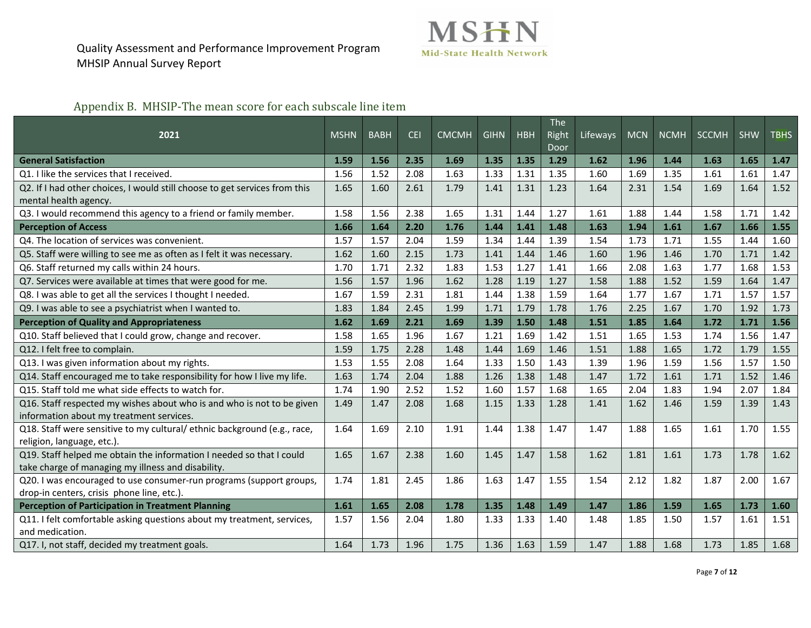

## Appendix B. MHSIP-The mean score for each subscale line item

| 2021                                                                       | <b>MSHN</b> | <b>BABH</b> | <b>CEI</b> | <b>CMCMH</b> | <b>GIHN</b> | <b>HBH</b> | <b>The</b><br>Right<br>Door | Lifeways | <b>MCN</b> | <b>NCMH</b> | <b>SCCMH</b> | <b>SHW</b> | <b>TBHS</b> |
|----------------------------------------------------------------------------|-------------|-------------|------------|--------------|-------------|------------|-----------------------------|----------|------------|-------------|--------------|------------|-------------|
| <b>General Satisfaction</b>                                                | 1.59        | 1.56        | 2.35       | 1.69         | 1.35        | 1.35       | 1.29                        | 1.62     | 1.96       | 1.44        | 1.63         | 1.65       | 1.47        |
| Q1. I like the services that I received.                                   | 1.56        | 1.52        | 2.08       | 1.63         | 1.33        | 1.31       | 1.35                        | 1.60     | 1.69       | 1.35        | 1.61         | 1.61       | 1.47        |
| Q2. If I had other choices, I would still choose to get services from this | 1.65        | 1.60        | 2.61       | 1.79         | 1.41        | 1.31       | 1.23                        | 1.64     | 2.31       | 1.54        | 1.69         | 1.64       | 1.52        |
| mental health agency.                                                      |             |             |            |              |             |            |                             |          |            |             |              |            |             |
| Q3. I would recommend this agency to a friend or family member.            | 1.58        | 1.56        | 2.38       | 1.65         | 1.31        | 1.44       | 1.27                        | 1.61     | 1.88       | 1.44        | 1.58         | 1.71       | 1.42        |
| <b>Perception of Access</b>                                                | 1.66        | 1.64        | 2.20       | 1.76         | 1.44        | 1.41       | 1.48                        | 1.63     | 1.94       | 1.61        | 1.67         | 1.66       | 1.55        |
| Q4. The location of services was convenient.                               | 1.57        | 1.57        | 2.04       | 1.59         | 1.34        | 1.44       | 1.39                        | 1.54     | 1.73       | 1.71        | 1.55         | 1.44       | 1.60        |
| Q5. Staff were willing to see me as often as I felt it was necessary.      | 1.62        | 1.60        | 2.15       | 1.73         | 1.41        | 1.44       | 1.46                        | 1.60     | 1.96       | 1.46        | 1.70         | 1.71       | 1.42        |
| Q6. Staff returned my calls within 24 hours.                               | 1.70        | 1.71        | 2.32       | 1.83         | 1.53        | 1.27       | 1.41                        | 1.66     | 2.08       | 1.63        | 1.77         | 1.68       | 1.53        |
| Q7. Services were available at times that were good for me.                | 1.56        | 1.57        | 1.96       | 1.62         | 1.28        | 1.19       | 1.27                        | 1.58     | 1.88       | 1.52        | 1.59         | 1.64       | 1.47        |
| Q8. I was able to get all the services I thought I needed.                 | 1.67        | 1.59        | 2.31       | 1.81         | 1.44        | 1.38       | 1.59                        | 1.64     | 1.77       | 1.67        | 1.71         | 1.57       | 1.57        |
| Q9. I was able to see a psychiatrist when I wanted to.                     | 1.83        | 1.84        | 2.45       | 1.99         | 1.71        | 1.79       | 1.78                        | 1.76     | 2.25       | 1.67        | 1.70         | 1.92       | 1.73        |
| <b>Perception of Quality and Appropriateness</b>                           | 1.62        | 1.69        | 2.21       | 1.69         | 1.39        | 1.50       | 1.48                        | 1.51     | 1.85       | 1.64        | 1.72         | 1.71       | 1.56        |
| Q10. Staff believed that I could grow, change and recover.                 | 1.58        | 1.65        | 1.96       | 1.67         | 1.21        | 1.69       | 1.42                        | 1.51     | 1.65       | 1.53        | 1.74         | 1.56       | 1.47        |
| Q12. I felt free to complain.                                              | 1.59        | 1.75        | 2.28       | 1.48         | 1.44        | 1.69       | 1.46                        | 1.51     | 1.88       | 1.65        | 1.72         | 1.79       | 1.55        |
| Q13. I was given information about my rights.                              | 1.53        | 1.55        | 2.08       | 1.64         | 1.33        | 1.50       | 1.43                        | 1.39     | 1.96       | 1.59        | 1.56         | 1.57       | 1.50        |
| Q14. Staff encouraged me to take responsibility for how I live my life.    | 1.63        | 1.74        | 2.04       | 1.88         | 1.26        | 1.38       | 1.48                        | 1.47     | 1.72       | 1.61        | 1.71         | 1.52       | 1.46        |
| Q15. Staff told me what side effects to watch for.                         | 1.74        | 1.90        | 2.52       | 1.52         | 1.60        | 1.57       | 1.68                        | 1.65     | 2.04       | 1.83        | 1.94         | 2.07       | 1.84        |
| Q16. Staff respected my wishes about who is and who is not to be given     | 1.49        | 1.47        | 2.08       | 1.68         | 1.15        | 1.33       | 1.28                        | 1.41     | 1.62       | 1.46        | 1.59         | 1.39       | 1.43        |
| information about my treatment services.                                   |             |             |            |              |             |            |                             |          |            |             |              |            |             |
| Q18. Staff were sensitive to my cultural/ethnic background (e.g., race,    | 1.64        | 1.69        | 2.10       | 1.91         | 1.44        | 1.38       | 1.47                        | 1.47     | 1.88       | 1.65        | 1.61         | 1.70       | 1.55        |
| religion, language, etc.).                                                 |             |             |            |              |             |            |                             |          |            |             |              |            |             |
| Q19. Staff helped me obtain the information I needed so that I could       | 1.65        | 1.67        | 2.38       | 1.60         | 1.45        | 1.47       | 1.58                        | 1.62     | 1.81       | 1.61        | 1.73         | 1.78       | 1.62        |
| take charge of managing my illness and disability.                         |             |             |            |              |             |            |                             |          |            |             |              |            |             |
| Q20. I was encouraged to use consumer-run programs (support groups,        | 1.74        | 1.81        | 2.45       | 1.86         | 1.63        | 1.47       | 1.55                        | 1.54     | 2.12       | 1.82        | 1.87         | 2.00       | 1.67        |
| drop-in centers, crisis phone line, etc.).                                 |             |             |            |              |             |            |                             |          |            |             |              |            |             |
| <b>Perception of Participation in Treatment Planning</b>                   | 1.61        | 1.65        | 2.08       | 1.78         | 1.35        | 1.48       | 1.49                        | 1.47     | 1.86       | 1.59        | 1.65         | 1.73       | 1.60        |
| Q11. I felt comfortable asking questions about my treatment, services,     | 1.57        | 1.56        | 2.04       | 1.80         | 1.33        | 1.33       | 1.40                        | 1.48     | 1.85       | 1.50        | 1.57         | 1.61       | 1.51        |
| and medication.                                                            |             |             |            |              |             |            |                             |          |            |             |              |            |             |
| Q17. I, not staff, decided my treatment goals.                             | 1.64        | 1.73        | 1.96       | 1.75         | 1.36        | 1.63       | 1.59                        | 1.47     | 1.88       | 1.68        | 1.73         | 1.85       | 1.68        |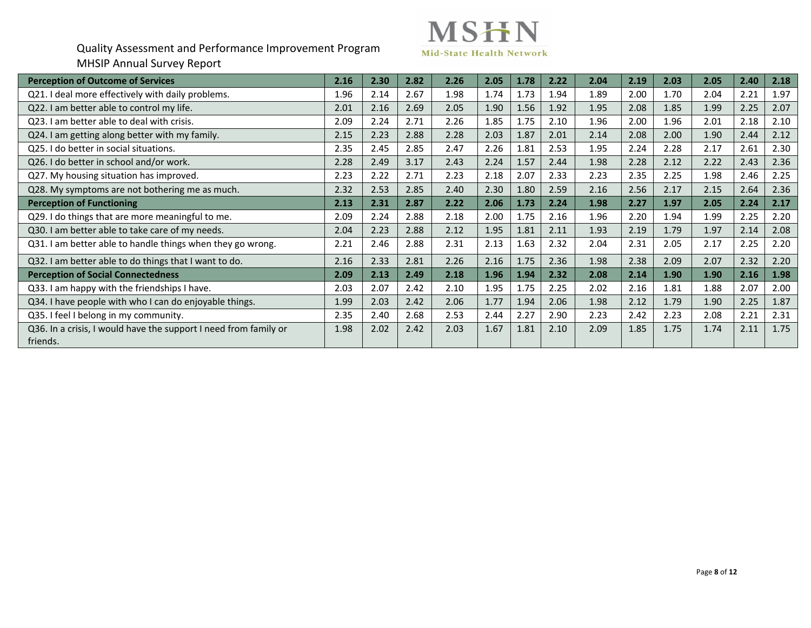

| <b>Perception of Outcome of Services</b>                                     | 2.16 | 2.30 | 2.82 | 2.26 | 2.05 | 1.78 | 2.22 | 2.04 | 2.19 | 2.03 | 2.05 | 2.40 | 2.18 |
|------------------------------------------------------------------------------|------|------|------|------|------|------|------|------|------|------|------|------|------|
| Q21. I deal more effectively with daily problems.                            | 1.96 | 2.14 | 2.67 | 1.98 | 1.74 | 1.73 | 1.94 | 1.89 | 2.00 | 1.70 | 2.04 | 2.21 | 1.97 |
| Q22. I am better able to control my life.                                    | 2.01 | 2.16 | 2.69 | 2.05 | 1.90 | 1.56 | 1.92 | 1.95 | 2.08 | 1.85 | 1.99 | 2.25 | 2.07 |
| Q23. I am better able to deal with crisis.                                   | 2.09 | 2.24 | 2.71 | 2.26 | 1.85 | 1.75 | 2.10 | 1.96 | 2.00 | 1.96 | 2.01 | 2.18 | 2.10 |
| Q24. I am getting along better with my family.                               | 2.15 | 2.23 | 2.88 | 2.28 | 2.03 | 1.87 | 2.01 | 2.14 | 2.08 | 2.00 | 1.90 | 2.44 | 2.12 |
| Q25. I do better in social situations.                                       | 2.35 | 2.45 | 2.85 | 2.47 | 2.26 | 1.81 | 2.53 | 1.95 | 2.24 | 2.28 | 2.17 | 2.61 | 2.30 |
| Q26. I do better in school and/or work.                                      | 2.28 | 2.49 | 3.17 | 2.43 | 2.24 | 1.57 | 2.44 | 1.98 | 2.28 | 2.12 | 2.22 | 2.43 | 2.36 |
| Q27. My housing situation has improved.                                      | 2.23 | 2.22 | 2.71 | 2.23 | 2.18 | 2.07 | 2.33 | 2.23 | 2.35 | 2.25 | 1.98 | 2.46 | 2.25 |
| Q28. My symptoms are not bothering me as much.                               | 2.32 | 2.53 | 2.85 | 2.40 | 2.30 | 1.80 | 2.59 | 2.16 | 2.56 | 2.17 | 2.15 | 2.64 | 2.36 |
| <b>Perception of Functioning</b>                                             | 2.13 | 2.31 | 2.87 | 2.22 | 2.06 | 1.73 | 2.24 | 1.98 | 2.27 | 1.97 | 2.05 | 2.24 | 2.17 |
| Q29. I do things that are more meaningful to me.                             | 2.09 | 2.24 | 2.88 | 2.18 | 2.00 | 1.75 | 2.16 | 1.96 | 2.20 | 1.94 | 1.99 | 2.25 | 2.20 |
| Q30. I am better able to take care of my needs.                              | 2.04 | 2.23 | 2.88 | 2.12 | 1.95 | 1.81 | 2.11 | 1.93 | 2.19 | 1.79 | 1.97 | 2.14 | 2.08 |
| Q31. I am better able to handle things when they go wrong.                   | 2.21 | 2.46 | 2.88 | 2.31 | 2.13 | 1.63 | 2.32 | 2.04 | 2.31 | 2.05 | 2.17 | 2.25 | 2.20 |
| Q32. I am better able to do things that I want to do.                        | 2.16 | 2.33 | 2.81 | 2.26 | 2.16 | 1.75 | 2.36 | 1.98 | 2.38 | 2.09 | 2.07 | 2.32 | 2.20 |
| <b>Perception of Social Connectedness</b>                                    | 2.09 | 2.13 | 2.49 | 2.18 | 1.96 | 1.94 | 2.32 | 2.08 | 2.14 | 1.90 | 1.90 | 2.16 | 1.98 |
| Q33. I am happy with the friendships I have.                                 | 2.03 | 2.07 | 2.42 | 2.10 | 1.95 | 1.75 | 2.25 | 2.02 | 2.16 | 1.81 | 1.88 | 2.07 | 2.00 |
| Q34. I have people with who I can do enjoyable things.                       | 1.99 | 2.03 | 2.42 | 2.06 | 1.77 | 1.94 | 2.06 | 1.98 | 2.12 | 1.79 | 1.90 | 2.25 | 1.87 |
| Q35. I feel I belong in my community.                                        | 2.35 | 2.40 | 2.68 | 2.53 | 2.44 | 2.27 | 2.90 | 2.23 | 2.42 | 2.23 | 2.08 | 2.21 | 2.31 |
| Q36. In a crisis, I would have the support I need from family or<br>friends. | 1.98 | 2.02 | 2.42 | 2.03 | 1.67 | 1.81 | 2.10 | 2.09 | 1.85 | 1.75 | 1.74 | 2.11 | 1.75 |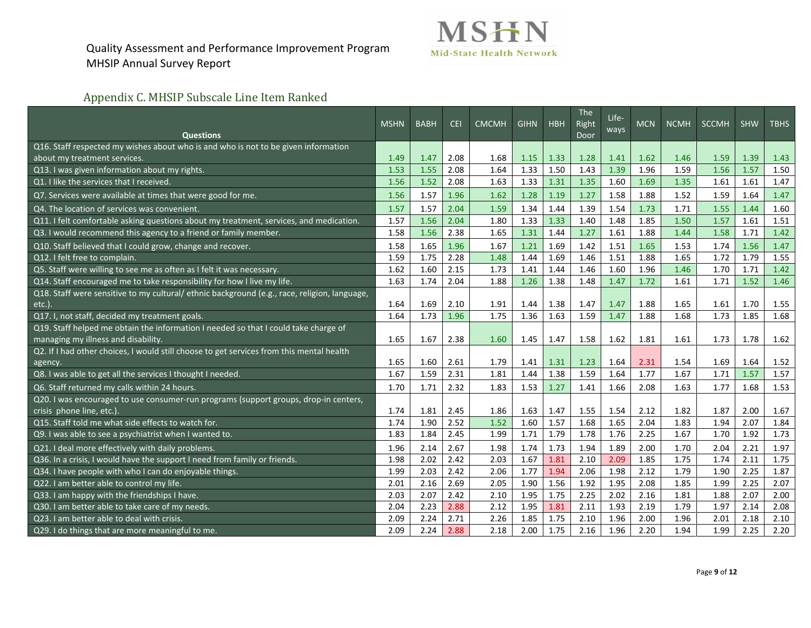

# Appendix C. MHSIP Subscale Line Item Ranked

|                                                                                              | <b>MSHN</b> | <b>BABH</b> | <b>CEI</b> | <b>CMCMH</b> | <b>GIHN</b> | <b>HBH</b> | <b>The</b><br>Right | Life-<br>ways | <b>MCN</b> | <b>NCMH</b> | <b>SCCMH</b> | <b>SHW</b> | <b>TBHS</b> |
|----------------------------------------------------------------------------------------------|-------------|-------------|------------|--------------|-------------|------------|---------------------|---------------|------------|-------------|--------------|------------|-------------|
| <b>Questions</b>                                                                             |             |             |            |              |             |            | Door                |               |            |             |              |            |             |
| Q16. Staff respected my wishes about who is and who is not to be given information           |             |             |            |              |             |            |                     |               |            |             |              |            |             |
| about my treatment services.                                                                 | 1.49        | 1.47        | 2.08       | 1.68         | 1.15        | 1.33       | 1.28                | 1.41          | 1.62       | 1.46        | 1.59         | 1.39       | 1.43        |
| Q13. I was given information about my rights.                                                | 1.53        | 1.55        | 2.08       | 1.64         | 1.33        | 1.50       | 1.43                | 1.39          | 1.96       | 1.59        | 1.56         | 1.57       | 1.50        |
| Q1. I like the services that I received                                                      | 1.56        | 1.52        | 2.08       | 1.63         | 1.33        | 1.31       | 1.35                | 1.60          | 1.69       | 1.35        | 1.61         | 1.61       | 1.47        |
| Q7. Services were available at times that were good for me.                                  | 1.56        | 1.57        | 1.96       | 1.62         | 1.28        | 1.19       | 1.27                | 1.58          | 1.88       | 1.52        | 1.59         | 1.64       | 1.47        |
| Q4. The location of services was convenient.                                                 | 1.57        | 1.57        | 2.04       | 1.59         | 1.34        | 1.44       | 1.39                | 1.54          | 1.73       | 1.71        | 1.55         | 1.44       | 1.60        |
| Q11. I felt comfortable asking questions about my treatment, services, and medication.       | 1.57        | 1.56        | 2.04       | 1.80         | 1.33        | 1.33       | 1.40                | 1.48          | 1.85       | 1.50        | 1.57         | 1.61       | 1.51        |
| Q3. I would recommend this agency to a friend or family member.                              | 1.58        | 1.56        | 2.38       | 1.65         | 1.31        | 1.44       | 1.27                | 1.61          | 1.88       | 1.44        | 1.58         | 1.71       | 1.42        |
| Q10. Staff believed that I could grow, change and recover.                                   | 1.58        | 1.65        | 1.96       | 1.67         | 1.21        | 1.69       | 1.42                | 1.51          | 1.65       | 1.53        | 1.74         | 1.56       | 1.47        |
| Q12. I felt free to complain.                                                                | 1.59        | 1.75        | 2.28       | 1.48         | 1.44        | 1.69       | 1.46                | 1.51          | 1.88       | 1.65        | 1.72         | 1.79       | 1.55        |
| Q5. Staff were willing to see me as often as I felt it was necessary.                        | 1.62        | 1.60        | 2.15       | 1.73         | 1.41        | 1.44       | 1.46                | 1.60          | 1.96       | 1.46        | 1.70         | 1.71       | 1.42        |
| Q14. Staff encouraged me to take responsibility for how I live my life.                      | 1.63        | 1.74        | 2.04       | 1.88         | 1.26        | 1.38       | 1.48                | 1.47          | 1.72       | 1.61        | 1.71         | 1.52       | 1.46        |
| Q18. Staff were sensitive to my cultural/ ethnic background (e.g., race, religion, language, |             |             |            |              |             |            |                     |               |            |             |              |            |             |
| $etc.$ )                                                                                     | 1.64        | 1.69        | 2.10       | 1.91         | 1.44        | 1.38       | 1.47                | 1.47          | 1.88       | 1.65        | 1.61         | 1.70       | 1.55        |
| Q17. I, not staff, decided my treatment goals.                                               | 1.64        | 1.73        | 1.96       | 1.75         | 1.36        | 1.63       | 1.59                | 1.47          | 1.88       | 1.68        | 1.73         | 1.85       | 1.68        |
| Q19. Staff helped me obtain the information I needed so that I could take charge of          |             |             |            |              |             |            |                     |               |            |             |              |            |             |
| managing my illness and disability.                                                          | 1.65        | 1.67        | 2.38       | 1.60         | 1.45        | 1.47       | 1.58                | 1.62          | 1.81       | 1.61        | 1.73         | 1.78       | 1.62        |
| Q2. If I had other choices, I would still choose to get services from this mental health     |             |             |            |              |             |            |                     |               |            |             |              |            |             |
| agency.                                                                                      | 1.65        | 1.60        | 2.61       | 1.79         | 1.41        | 1.31       | 1.23                | 1.64          | 2.31       | 1.54        | 1.69         | 1.64       | 1.52        |
| Q8. I was able to get all the services I thought I needed.                                   | 1.67        | 1.59        | 2.31       | 1.81         | 1.44        | 1.38       | 1.59                | 1.64          | 1.77       | 1.67        | 1.71         | 1.57       | 1.57        |
| Q6. Staff returned my calls within 24 hours.                                                 | 1.70        | 1.71        | 2.32       | 1.83         | 1.53        | 1.27       | 1.41                | 1.66          | 2.08       | 1.63        | 1.77         | 1.68       | 1.53        |
| Q20. I was encouraged to use consumer-run programs (support groups, drop-in centers,         |             |             |            |              |             |            |                     |               |            |             |              |            |             |
| crisis phone line, etc.)                                                                     | 1.74        | 1.81        | 2.45       | 1.86         | 1.63        | 1.47       | 1.55                | 1.54          | 2.12       | 1.82        | 1.87         | 2.00       | 1.67        |
| Q15. Staff told me what side effects to watch for.                                           | 1.74        | 1.90        | 2.52       | 1.52         | 1.60        | 1.57       | 1.68                | 1.65          | 2.04       | 1.83        | 1.94         | 2.07       | 1.84        |
| Q9. I was able to see a psychiatrist when I wanted to.                                       | 1.83        | 1.84        | 2.45       | 1.99         | 1.71        | 1.79       | 1.78                | 1.76          | 2.25       | 1.67        | 1.70         | 1.92       | 1.73        |
| Q21. I deal more effectively with daily problems.                                            | 1.96        | 2.14        | 2.67       | 1.98         | 1.74        | 1.73       | 1.94                | 1.89          | 2.00       | 1.70        | 2.04         | 2.21       | 1.97        |
| Q36. In a crisis, I would have the support I need from family or friends.                    | 1.98        | 2.02        | 2.42       | 2.03         | 1.67        | 1.81       | 2.10                | 2.09          | 1.85       | 1.75        | 1.74         | 2.11       | 1.75        |
| Q34. I have people with who I can do enjoyable things.                                       | 1.99        | 2.03        | 2.42       | 2.06         | 1.77        | 1.94       | 2.06                | 1.98          | 2.12       | 1.79        | 1.90         | 2.25       | 1.87        |
| Q22. I am better able to control my life.                                                    | 2.01        | 2.16        | 2.69       | 2.05         | 1.90        | 1.56       | 1.92                | 1.95          | 2.08       | 1.85        | 1.99         | 2.25       | 2.07        |
| Q33. I am happy with the friendships I have.                                                 | 2.03        | 2.07        | 2.42       | 2.10         | 1.95        | 1.75       | 2.25                | 2.02          | 2.16       | 1.81        | 1.88         | 2.07       | 2.00        |
| Q30. I am better able to take care of my needs.                                              | 2.04        | 2.23        | 2.88       | 2.12         | 1.95        | 1.81       | 2.11                | 1.93          | 2.19       | 1.79        | 1.97         | 2.14       | 2.08        |
| Q23. I am better able to deal with crisis.                                                   | 2.09        | 2.24        | 2.71       | 2.26         | 1.85        | 1.75       | 2.10                | 1.96          | 2.00       | 1.96        | 2.01         | 2.18       | 2.10        |
| Q29. I do things that are more meaningful to me.                                             | 2.09        | 2.24        | 2.88       | 2.18         | 2.00        | 1.75       | 2.16                | 1.96          | 2.20       | 1.94        | 1.99         | 2.25       | 2.20        |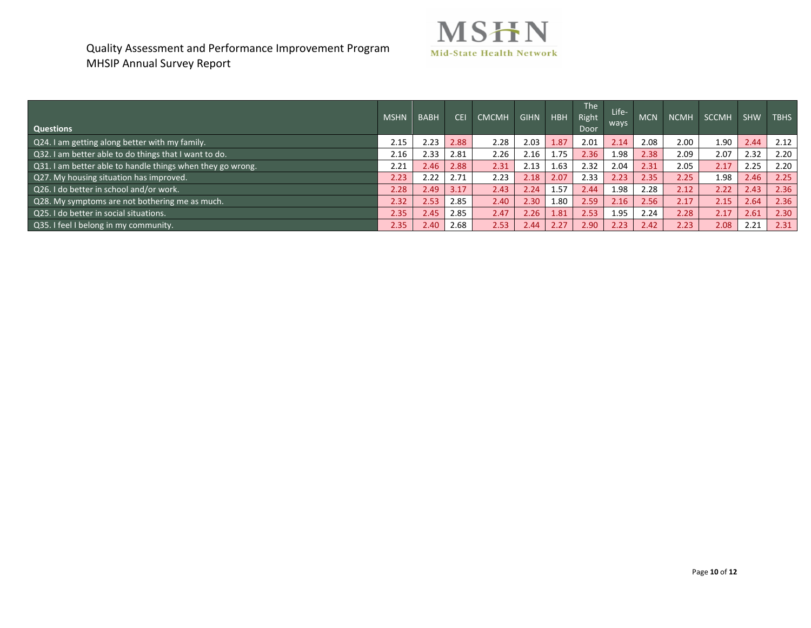

| <b>Questions</b>                                           | <b>MSHN</b> | <b>BABH</b>    | <b>CEL</b> | <b>CMCMH</b> | <b>GIHN</b>       | <b>HBH</b> | The<br>Right<br>Door | Life-<br>ways | <b>MCN</b> | <b>NCMH</b> | SCCMH | <b>SHW</b> | <b>TBHS</b> |
|------------------------------------------------------------|-------------|----------------|------------|--------------|-------------------|------------|----------------------|---------------|------------|-------------|-------|------------|-------------|
| Q24. I am getting along better with my family.             | 2.15        | 2.23           | 2.88       | 2.28         | 2.03              | 1.87       | 2.01                 | 2.14          | 2.08       | 2.00        | 1.90  | 2.44       | 2.12        |
| Q32. I am better able to do things that I want to do.      | 2.16        | 2.33           | 2.81       | 2.26         | 2.16              | 1.75       | 2.36                 | 1.98          | 2.38       | 2.09        | 2.07  | 2.32       | 2.20        |
| Q31. I am better able to handle things when they go wrong. | 2.21        | 2.46           | 2.88       | 2.31         | 2.13              | 1.63       | 2.32                 | 2.04          | 2.31       | 2.05        | 2.17  | 2.25       | 2.20        |
| Q27. My housing situation has improved.                    | 2.23        | 2.22           | 2.71       | 2.23         | 2.18              | 2.07       | 2.33                 | 2.23          | 2.35       | 2.25        | 1.98  | 2.46       | 2.25        |
| Q26. I do better in school and/or work.                    | 2.28        | 2.49           | 3.17       | 2.43         | 2.24              | 1.57       | 2.44                 | 1.98          | 2.28       | 2.12        | 2.22  | 2.43       | 2.36        |
| Q28. My symptoms are not bothering me as much.             | 2.32        | 2.53           | 2.85       | 2.40         | 2.30              | 1.80       | 2.59                 | 2.16          | 2.56       | 2.17        | 2.15  | 2.64       | 2.36        |
| Q25. I do better in social situations.                     | 2.35        | $2.45^{\circ}$ | 2.85       | 2.47         | 2.26 <sub>1</sub> | 1.81       | 2.53                 | 1.95          | 2.24       | 2.28        | 2.17  | 2.61       | 2.30        |
| Q35. I feel I belong in my community.                      | 2.35        | 2.40           | 2.68       | 2.53         | 2.44              | 2.27       | 2.90                 | 2.23          | 2.42       | 2.23        | 2.08  | 2.21       | 2.31        |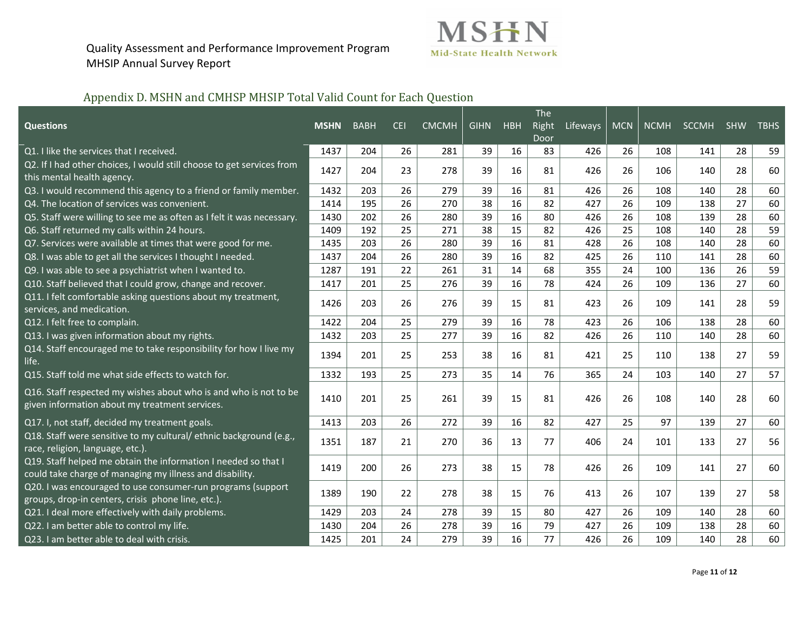

## Appendix D. MSHN and CMHSP MHSIP Total Valid Count for Each Question

|                                                                                                                            |             |             |            |              |             |            | The   |                   |    |     |       |            |             |
|----------------------------------------------------------------------------------------------------------------------------|-------------|-------------|------------|--------------|-------------|------------|-------|-------------------|----|-----|-------|------------|-------------|
| <b>Questions</b>                                                                                                           | <b>MSHN</b> | <b>BABH</b> | <b>CEI</b> | <b>CMCMH</b> | <b>GIHN</b> | <b>HBH</b> | Right | Lifeways MCN NCMH |    |     | SCCMH | <b>SHW</b> | <b>TBHS</b> |
|                                                                                                                            |             |             |            |              |             |            | Door  |                   |    |     |       |            |             |
| Q1. I like the services that I received.                                                                                   | 1437        | 204         | 26         | 281          | 39          | 16         | 83    | 426               | 26 | 108 | 141   | 28         | 59          |
| Q2. If I had other choices, I would still choose to get services from<br>this mental health agency.                        | 1427        | 204         | 23         | 278          | 39          | 16         | 81    | 426               | 26 | 106 | 140   | 28         | 60          |
| Q3. I would recommend this agency to a friend or family member.                                                            | 1432        | 203         | 26         | 279          | 39          | 16         | 81    | 426               | 26 | 108 | 140   | 28         | 60          |
| Q4. The location of services was convenient.                                                                               | 1414        | 195         | 26         | 270          | 38          | 16         | 82    | 427               | 26 | 109 | 138   | 27         | 60          |
| Q5. Staff were willing to see me as often as I felt it was necessary.                                                      | 1430        | 202         | 26         | 280          | 39          | 16         | 80    | 426               | 26 | 108 | 139   | 28         | 60          |
| Q6. Staff returned my calls within 24 hours.                                                                               | 1409        | 192         | 25         | 271          | 38          | 15         | 82    | 426               | 25 | 108 | 140   | 28         | 59          |
| Q7. Services were available at times that were good for me.                                                                | 1435        | 203         | 26         | 280          | 39          | 16         | 81    | 428               | 26 | 108 | 140   | 28         | 60          |
| Q8. I was able to get all the services I thought I needed.                                                                 | 1437        | 204         | 26         | 280          | 39          | 16         | 82    | 425               | 26 | 110 | 141   | 28         | 60          |
| Q9. I was able to see a psychiatrist when I wanted to.                                                                     | 1287        | 191         | 22         | 261          | 31          | 14         | 68    | 355               | 24 | 100 | 136   | 26         | 59          |
| Q10. Staff believed that I could grow, change and recover.                                                                 | 1417        | 201         | 25         | 276          | 39          | 16         | 78    | 424               | 26 | 109 | 136   | 27         | 60          |
| Q11. I felt comfortable asking questions about my treatment,<br>services, and medication.                                  | 1426        | 203         | 26         | 276          | 39          | 15         | 81    | 423               | 26 | 109 | 141   | 28         | 59          |
| Q12. I felt free to complain.                                                                                              | 1422        | 204         | 25         | 279          | 39          | 16         | 78    | 423               | 26 | 106 | 138   | 28         | 60          |
| Q13. I was given information about my rights.                                                                              | 1432        | 203         | 25         | 277          | 39          | 16         | 82    | 426               | 26 | 110 | 140   | 28         | 60          |
| Q14. Staff encouraged me to take responsibility for how I live my<br>life.                                                 | 1394        | 201         | 25         | 253          | 38          | 16         | 81    | 421               | 25 | 110 | 138   | 27         | 59          |
| Q15. Staff told me what side effects to watch for.                                                                         | 1332        | 193         | 25         | 273          | 35          | 14         | 76    | 365               | 24 | 103 | 140   | 27         | 57          |
| Q16. Staff respected my wishes about who is and who is not to be<br>given information about my treatment services.         | 1410        | 201         | 25         | 261          | 39          | 15         | 81    | 426               | 26 | 108 | 140   | 28         | 60          |
| Q17. I, not staff, decided my treatment goals.                                                                             | 1413        | 203         | 26         | 272          | 39          | 16         | 82    | 427               | 25 | 97  | 139   | 27         | 60          |
| Q18. Staff were sensitive to my cultural/ ethnic background (e.g.,<br>race, religion, language, etc.).                     | 1351        | 187         | 21         | 270          | 36          | 13         | 77    | 406               | 24 | 101 | 133   | 27         | 56          |
| Q19. Staff helped me obtain the information I needed so that I<br>could take charge of managing my illness and disability. | 1419        | 200         | 26         | 273          | 38          | 15         | 78    | 426               | 26 | 109 | 141   | 27         | 60          |
| Q20. I was encouraged to use consumer-run programs (support<br>groups, drop-in centers, crisis phone line, etc.).          | 1389        | 190         | 22         | 278          | 38          | 15         | 76    | 413               | 26 | 107 | 139   | 27         | 58          |
| Q21. I deal more effectively with daily problems.                                                                          | 1429        | 203         | 24         | 278          | 39          | 15         | 80    | 427               | 26 | 109 | 140   | 28         | 60          |
| Q22. I am better able to control my life.                                                                                  | 1430        | 204         | 26         | 278          | 39          | 16         | 79    | 427               | 26 | 109 | 138   | 28         | 60          |
| Q23. I am better able to deal with crisis.                                                                                 | 1425        | 201         | 24         | 279          | 39          | 16         | 77    | 426               | 26 | 109 | 140   | 28         | 60          |